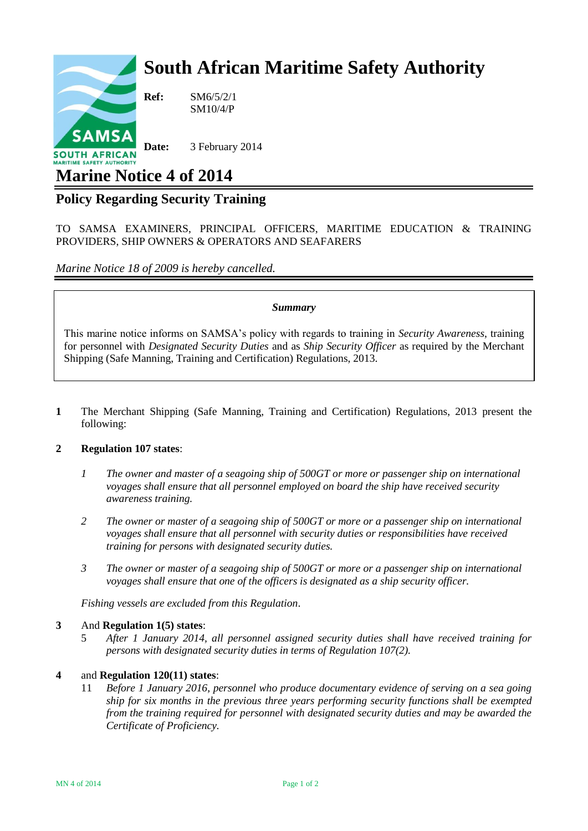# **South African Maritime Safety Authority**



**Ref:** SM6/5/2/1 SM10/4/P

**Date:** 3 February 2014

## **Marine Notice 4 of 2014**

### **Policy Regarding Security Training**

TO SAMSA EXAMINERS, PRINCIPAL OFFICERS, MARITIME EDUCATION & TRAINING PROVIDERS, SHIP OWNERS & OPERATORS AND SEAFARERS

*Marine Notice 18 of 2009 is hereby cancelled.*

#### *Summary*

This marine notice informs on SAMSA's policy with regards to training in *Security Awareness*, training for personnel with *Designated Security Duties* and as *Ship Security Officer* as required by the Merchant Shipping (Safe Manning, Training and Certification) Regulations, 2013.

**1** The Merchant Shipping (Safe Manning, Training and Certification) Regulations, 2013 present the following:

#### **2 Regulation 107 states**:

- *1 The owner and master of a seagoing ship of 500GT or more or passenger ship on international voyages shall ensure that all personnel employed on board the ship have received security awareness training.*
- *2 The owner or master of a seagoing ship of 500GT or more or a passenger ship on international voyages shall ensure that all personnel with security duties or responsibilities have received training for persons with designated security duties.*
- *3 The owner or master of a seagoing ship of 500GT or more or a passenger ship on international voyages shall ensure that one of the officers is designated as a ship security officer.*

*Fishing vessels are excluded from this Regulation*.

#### **3** And **Regulation 1(5) states**:

5 *After 1 January 2014, all personnel assigned security duties shall have received training for persons with designated security duties in terms of Regulation 107(2).*

#### **4** and **Regulation 120(11) states**:

11 *Before 1 January 2016, personnel who produce documentary evidence of serving on a sea going ship for six months in the previous three years performing security functions shall be exempted from the training required for personnel with designated security duties and may be awarded the Certificate of Proficiency.*